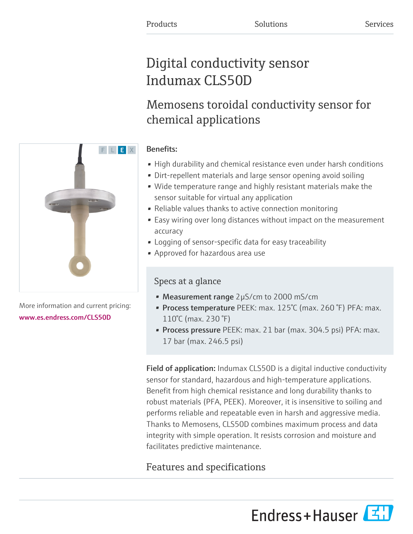# Digital conductivity sensor Indumax CLS50D

# Memosens toroidal conductivity sensor for chemical applications

### Benefits:

- High durability and chemical resistance even under harsh conditions
- Dirt-repellent materials and large sensor opening avoid soiling
- Wide temperature range and highly resistant materials make the sensor suitable for virtual any application
- Reliable values thanks to active connection monitoring
- Easy wiring over long distances without impact on the measurement accuracy
- Logging of sensor-specific data for easy traceability
- Approved for hazardous area use

### Specs at a glance

- Measurement range 2µS/cm to 2000 mS/cm
- Process temperature PEEK: max. 125°C (max. 260 °F) PFA: max. 110°C (max. 230 °F)
- Process pressure PEEK: max. 21 bar (max. 304.5 psi) PFA: max. 17 bar (max. 246.5 psi)

Field of application: Indumax CLS50D is a digital inductive conductivity sensor for standard, hazardous and high-temperature applications. Benefit from high chemical resistance and long durability thanks to robust materials (PFA, PEEK). Moreover, it is insensitive to soiling and performs reliable and repeatable even in harsh and aggressive media. Thanks to Memosens, CLS50D combines maximum process and data integrity with simple operation. It resists corrosion and moisture and facilitates predictive maintenance.

## Features and specifications





More information and current pricing: [www.es.endress.com/CLS50D](https://www.es.endress.com/CLS50D)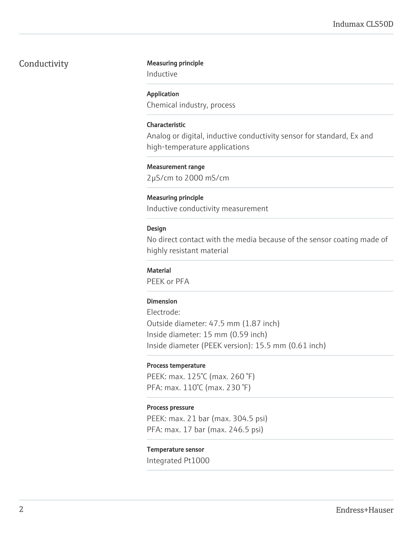#### Conductivity Measuring principle

Inductive

#### Application

Chemical industry, process

#### Characteristic

Analog or digital, inductive conductivity sensor for standard, Ex and high-temperature applications

#### Measurement range

2µS/cm to 2000 mS/cm

#### Measuring principle

Inductive conductivity measurement

#### Design

No direct contact with the media because of the sensor coating made of highly resistant material

#### **Material**

PEEK or PFA

#### Dimension

Electrode: Outside diameter: 47.5 mm (1.87 inch) Inside diameter: 15 mm (0.59 inch) Inside diameter (PEEK version): 15.5 mm (0.61 inch)

#### Process temperature

PEEK: max. 125°C (max. 260 °F) PFA: max. 110°C (max. 230 °F)

#### Process pressure

PEEK: max. 21 bar (max. 304.5 psi) PFA: max. 17 bar (max. 246.5 psi)

#### Temperature sensor

Integrated Pt1000